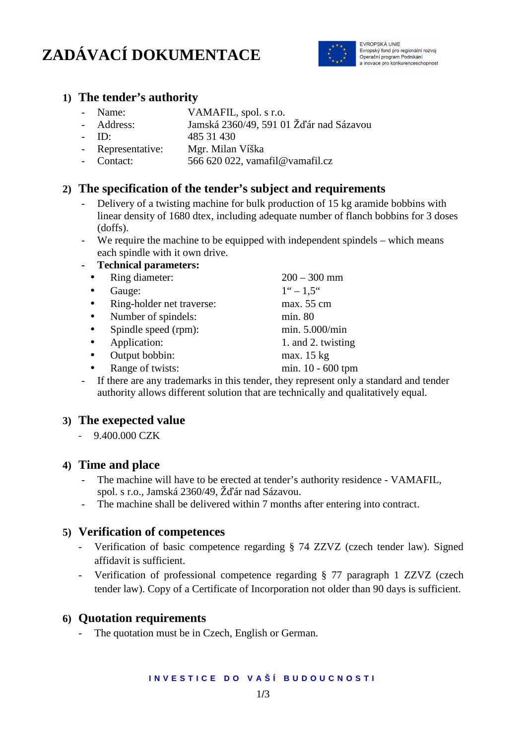# **ZADÁVACÍ DOKUMENTACE**



EVROPSKÁ UNIE Evropský fond pro regionální rozvoj Operační program Podnikání a inovace pro konkurenceschopnost

## **1) The tender's authority**

- Name: VAMAFIL, spol. s r.o.
	- Address: Jamská 2360/49, 591 01 Žďár nad Sázavou
- ID: 485 31 430
- Representative: Mgr. Milan Víška
- Contact: 566 620 022, vamafil@vamafil.cz

# **2) The specification of the tender's subject and requirements**

- Delivery of a twisting machine for bulk production of 15 kg aramide bobbins with linear density of 1680 dtex, including adequate number of flanch bobbins for 3 doses (doffs).
- We require the machine to be equipped with independent spindels which means each spindle with it own drive.

#### **- Technical parameters:**

|           | Ring diameter:                                                                                                                                                                                                                                                                                                                                          | $200 - 300$ mm                                                                                                                                                                                                                   |
|-----------|---------------------------------------------------------------------------------------------------------------------------------------------------------------------------------------------------------------------------------------------------------------------------------------------------------------------------------------------------------|----------------------------------------------------------------------------------------------------------------------------------------------------------------------------------------------------------------------------------|
|           | Gauge:                                                                                                                                                                                                                                                                                                                                                  | $1^{\circ} - 1.5^{\circ}$                                                                                                                                                                                                        |
|           | Ring-holder net traverse:                                                                                                                                                                                                                                                                                                                               | max. 55 cm                                                                                                                                                                                                                       |
|           | Number of spindels:                                                                                                                                                                                                                                                                                                                                     | min. 80                                                                                                                                                                                                                          |
| $\bullet$ | Spindle speed (rpm):                                                                                                                                                                                                                                                                                                                                    | min. 5.000/min                                                                                                                                                                                                                   |
|           | Application:                                                                                                                                                                                                                                                                                                                                            | 1. and 2. twisting                                                                                                                                                                                                               |
|           | Output bobbin:                                                                                                                                                                                                                                                                                                                                          | max. 15 kg                                                                                                                                                                                                                       |
|           | Range of twists:                                                                                                                                                                                                                                                                                                                                        | min. 10 - 600 tpm                                                                                                                                                                                                                |
|           | $\mathbf{r} \cdot \mathbf{r}$ , the state of $\mathbf{r} \cdot \mathbf{r}$ , and $\mathbf{r} \cdot \mathbf{r}$ , and $\mathbf{r} \cdot \mathbf{r}$ , and $\mathbf{r} \cdot \mathbf{r}$ , and $\mathbf{r} \cdot \mathbf{r}$ , and $\mathbf{r} \cdot \mathbf{r}$ , and $\mathbf{r} \cdot \mathbf{r}$ , and $\mathbf{r} \cdot \mathbf{r}$ , and $\mathbf{$ | $\mathbf{1}$ , and the set of the set of the set of the set of the set of the set of the set of the set of the set of the set of the set of the set of the set of the set of the set of the set of the set of the set of the set |

- If there are any trademarks in this tender, they represent only a standard and tender authority allows different solution that are technically and qualitatively equal.

## **3) The exepected value**

- 9.400.000 CZK

## **4) Time and place**

- The machine will have to be erected at tender's authority residence VAMAFIL, spol. s r.o., Jamská 2360/49, Žďár nad Sázavou.
- The machine shall be delivered within 7 months after entering into contract.

## **5) Verification of competences**

- Verification of basic competence regarding § 74 ZZVZ (czech tender law). Signed affidavit is sufficient.
- Verification of professional competence regarding § 77 paragraph 1 ZZVZ (czech tender law). Copy of a Certificate of Incorporation not older than 90 days is sufficient.

## **6) Quotation requirements**

- The quotation must be in Czech, English or German.

#### **I N V E S T I C E D O V A Š Í B U D O U C N O S T I**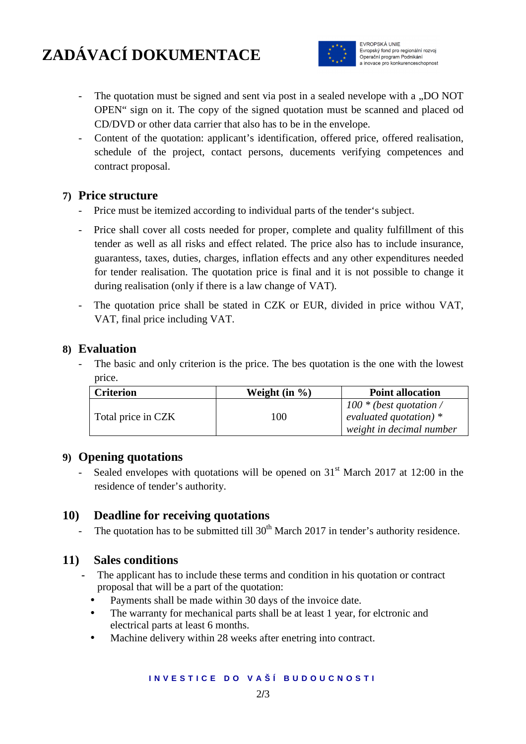# **ZADÁVACÍ DOKUMENTACE**



EVROPSKÁ UNIE Evropský fond pro regionální rozvoj Operační program Podnikáni a inovace pro konkurenceschopnost

- The quotation must be signed and sent via post in a sealed nevelope with a "DO NOT OPEN" sign on it. The copy of the signed quotation must be scanned and placed od CD/DVD or other data carrier that also has to be in the envelope.
- Content of the quotation: applicant's identification, offered price, offered realisation, schedule of the project, contact persons, ducements verifying competences and contract proposal.

# **7) Price structure**

- Price must be itemized according to individual parts of the tender's subject.
- Price shall cover all costs needed for proper, complete and quality fulfillment of this tender as well as all risks and effect related. The price also has to include insurance, guarantess, taxes, duties, charges, inflation effects and any other expenditures needed for tender realisation. The quotation price is final and it is not possible to change it during realisation (only if there is a law change of VAT).
- The quotation price shall be stated in CZK or EUR, divided in price withou VAT, VAT, final price including VAT.

## **8) Evaluation**

The basic and only criterion is the price. The bes quotation is the one with the lowest price.

| <b>Criterion</b>   | Weight $(in %)$ | <b>Point allocation</b>                                                           |
|--------------------|-----------------|-----------------------------------------------------------------------------------|
| Total price in CZK | 100             | $100 * (best$ quotation /<br>evaluated quotation) $*$<br>weight in decimal number |

## **9) Opening quotations**

Sealed envelopes with quotations will be opened on  $31<sup>st</sup>$  March 2017 at 12:00 in the residence of tender's authority.

# **10) Deadline for receiving quotations**

The quotation has to be submitted till  $30<sup>th</sup>$  March 2017 in tender's authority residence.

# **11) Sales conditions**

- **-** The applicant has to include these terms and condition in his quotation or contract proposal that will be a part of the quotation:
	- Payments shall be made within 30 days of the invoice date.
	- The warranty for mechanical parts shall be at least 1 year, for elctronic and electrical parts at least 6 months.
	- Machine delivery within 28 weeks after enetring into contract.

#### **I N V E S T I C E D O V A Š Í B U D O U C N O S T I**